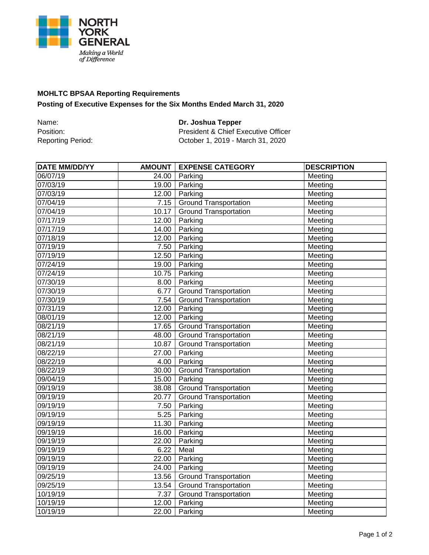

## **MOHLTC BPSAA Reporting Requirements Posting of Executive Expenses for the Six Months Ended March 31, 2020**

Name: **Dr. Joshua Tepper** Position: Position: President & Chief Executive Officer<br>Reporting Period: Cotober 1, 2019 - March 31, 2020 October 1, 2019 - March 31, 2020

| <b>DATE MM/DD/YY</b> | <b>AMOUNT</b> | <b>EXPENSE CATEGORY</b>      | <b>DESCRIPTION</b>             |
|----------------------|---------------|------------------------------|--------------------------------|
| 06/07/19             | 24.00         | Parking                      | Meeting                        |
| 07/03/19             | 19.00         | Parking                      | Meeting                        |
| 07/03/19             | 12.00         | Parking                      | Meeting                        |
| 07/04/19             | 7.15          | <b>Ground Transportation</b> | Meeting                        |
| 07/04/19             | 10.17         | <b>Ground Transportation</b> | Meeting                        |
| 07/17/19             | 12.00         | Parking                      | Meeting                        |
| 07/17/19             | 14.00         | Parking                      | Meeting                        |
| 07/18/19             | 12.00         | Parking                      | Meeting                        |
| 07/19/19             | 7.50          | Parking                      | Meeting                        |
| 07/19/19             | 12.50         | Parking                      | Meeting                        |
| 07/24/19             | 19.00         | Parking                      | Meeting                        |
| 07/24/19             | 10.75         | Parking                      | $M$ eeting                     |
| 07/30/19             | 8.00          | Parking                      | $M$ eeting                     |
| 07/30/19             | 6.77          | <b>Ground Transportation</b> | Meeting                        |
| 07/30/19             | 7.54          | <b>Ground Transportation</b> | Meeting                        |
| 07/31/19             | 12.00         | Parking                      | $\overline{\mathsf{Meet}}$ ing |
| 08/01/19             | 12.00         | Parking                      | Meeting                        |
| 08/21/19             | 17.65         | <b>Ground Transportation</b> | Meeting                        |
| 08/21/19             | 48.00         | <b>Ground Transportation</b> | Meeting                        |
| 08/21/19             | 10.87         | <b>Ground Transportation</b> | Meeting                        |
| 08/22/19             | 27.00         | Parking                      | $\overline{\mathsf{Meet}}$ ing |
| 08/22/19             | 4.00          | Parking                      | Meeting                        |
| 08/22/19             | 30.00         | <b>Ground Transportation</b> | Meeting                        |
| 09/04/19             | 15.00         | Parking                      | Meeting                        |
| 09/19/19             | 38.08         | <b>Ground Transportation</b> | Meeting                        |
| 09/19/19             | 20.77         | <b>Ground Transportation</b> | Meeting                        |
| 09/19/19             | 7.50          | Parking                      | Meeting                        |
| 09/19/19             | 5.25          | Parking                      | Meeting                        |
| 09/19/19             | 11.30         | Parking                      | Meeting                        |
| 09/19/19             | 16.00         | Parking                      | Meeting                        |
| 09/19/19             | 22.00         | Parking                      | Meeting                        |
| 09/19/19             | 6.22          | Meal                         | Meeting                        |
| 09/19/19             | 22.00         | Parking                      | Meeting                        |
| 09/19/19             | 24.00         | Parking                      | Meeting                        |
| 09/25/19             | 13.56         | <b>Ground Transportation</b> | Meeting                        |
| 09/25/19             | 13.54         | <b>Ground Transportation</b> | Meeting                        |
| 10/19/19             | 7.37          | <b>Ground Transportation</b> | Meeting                        |
| 10/19/19             | 12.00         | Parking                      | Meeting                        |
| 10/19/19             | 22.00         | Parking                      | Meeting                        |